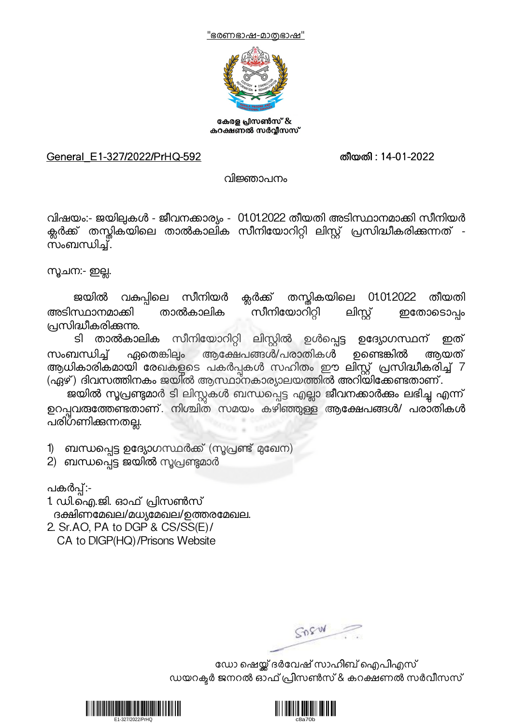"ഭരണഭാഷ-മാതഭാഷ"



കേരള പ്രസൺസ് & കറക്ഷണൽ സർവ്വീസസ്

## General\_E1-327/2022/PrHQ-592 തീയതി : 14-01-2022

വിജ്ഞാപനം

വിഷയം:- ജയില്പകൾ - ജീവനക്കാര്യം - 01.01.2022 തീയതി അടിസ്ഥാനമാക്കി സീനിയർ ക്ലർക്ക് തസ്തികയിലെ താൽകാലിക സീനിയോറിറ്റി ലിസ്റ്റ് പ്രസിദ്ധീകരിക്കുന്നത് -<br>സംബന്ധിച്ച്.

നുചന:- ഇല്ല.

ജയിൽ വകുപ്പിലെ സീനിയർ ക്ലർക്ക് തന്റ്ലികയിലെ 01.01.2022 തീയതി അടിസ്ഥാനമാക്കി താൽകാലിക സീനിയോറിറ്റി ലിസ്റ്റ് ഇതോടൊപ്പം പ്രസിദ്ധീകരിക്കന്നു.<br>sl താൽകാലിക

സീനിയോറിറ്റി ലിസ്റ്റിൽ ഉൾപ്പെട്ട ഉദ്യോഗസ്ഥന് ഇത് സംബന്ധിച്ച് ഏതെങ്കിലും ആക്ഷേപങ്ങൾ/പരാതികൾ ഉണ്ടെങ്കിൽ ആയത്<br>ആധികാരികമായി രേഖകളുടെ പകർപ്പകൾ സഹിതം ഈ ലിസ്റ്റ് പ്രസിദ്ധീകരിച്ച് 7 (ഏഴ്) ദിവസത്തിനകം ജയിൽ ആസ്ഥാനകാര്യാലയത്തിൽ അറിയിക്കേണ്ടതാണ്.

ജയിൽ സൂപ്രണ്ടുമാർ ടി ലിസ്റ്റകൾ ബന്ധപ്പെട്ട എല്ലാ ജീവനക്കാർക്കം ലഭിച്ച എന്ന് ഉറപ്പവ<mark>രത്തേണ്ടതാണ്. നിശ്ചി</mark>ത സമയം കഴിഞ്ഞുള്ള ആക്ഷേപങ്ങൾ/ പരാതികൾ പരിഗണിക്കന്നതല്ല.

1) ബന്ധപ്പെട്ട ഉദ്യോഗസ്ഥർക്ക് (സൂപ്രണ്ട് മുഖേന)

2) ബന്ധപ്പെട്ട ജയിൽ സൂപ്രണ്ടുമാർ

പകർപ്പ്:-

- 1. ഡി.ഐ.ജി. ഓഫ് \*ിസൺസ് ദക്ഷിണമേഖല/മധ്യമേഖല/ഉത്തരമേഖല.
- 2. Sr.AO, PA to DGP & CS/SS(E)/ CA to DIGP(HQ)/Prisons Website

SOSW

ഡോ ഷെയ്ക് ദർവേഷ് സാഹിബ് ഐപിഎസ് ഡയറക്ടർ ജനറൽ ഓഫ് പ്രിസൺസ് & കറക്ഷണൽ സർവീസസ്



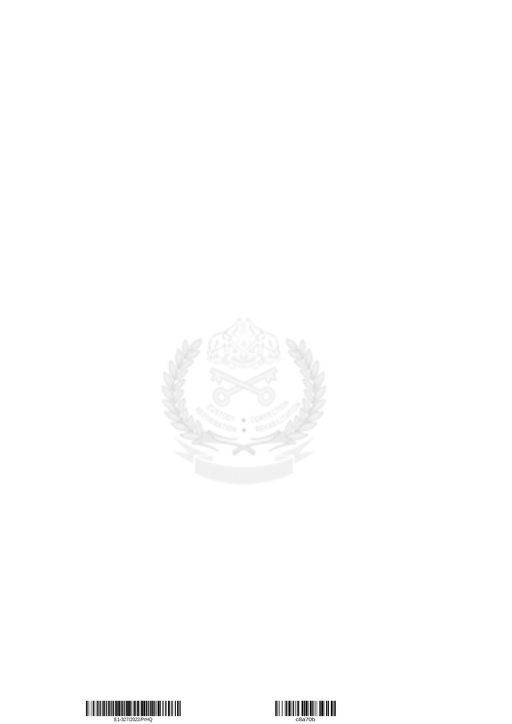



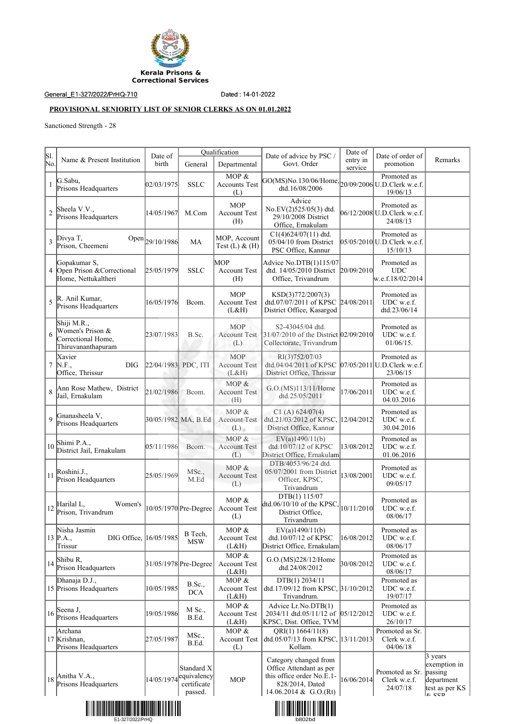

General\_E1-327/2022/PrHQ-710 Dated : 14-01-2022

## **PROVISIONAL SENIORITY LIST OF SENIOR CLERKS AS ON 01.01.2022**

Sanctioned Strength - 28

| Sl.            |                                                                                                                                                                        | Date of             |                                                     | Qualification                              | Date of advice by PSC /                                                                                                                                                | Date of             | Date of order of                                          |                                                                    |
|----------------|------------------------------------------------------------------------------------------------------------------------------------------------------------------------|---------------------|-----------------------------------------------------|--------------------------------------------|------------------------------------------------------------------------------------------------------------------------------------------------------------------------|---------------------|-----------------------------------------------------------|--------------------------------------------------------------------|
| No.            | Name & Present Institution                                                                                                                                             | birth               | General                                             | Departmental                               | Govt. Order                                                                                                                                                            | entry in<br>service | promotion                                                 | Remarks                                                            |
| 1              | G.Sabu,<br>Prisons Headquarters                                                                                                                                        | 02/03/1975          | <b>SSLC</b>                                         | MOP $&$<br><b>Accounts Test</b><br>(L)     | GO(MS)No.130/06/Home, $ 20/09/2006 $ U.D.Clerk w.e.f.<br>dtd.16/08/2006                                                                                                |                     | Promoted as<br>19/06/13                                   |                                                                    |
| $\overline{c}$ | Sheela V.V.,<br>Prisons Headquarters                                                                                                                                   | 14/05/1967          | M.Com                                               | <b>MOP</b><br>Account Test<br>(H)          | Advice<br>No.EV(2)525/05(3) dtd.<br>29/10/2008 District<br>Office, Ernakulam                                                                                           |                     | Promoted as<br>06/12/2008 U.D.Clerk w.e.f.<br>24/08/13    |                                                                    |
| 3              | Divya T,<br>Prison, Cheemeni                                                                                                                                           | Open 29/10/1986     | MA                                                  | MOP, Account<br>Test $(L)$ & $(H)$         | $C1(4)624/07(11)$ dtd.<br>05/04/10 from District<br>PSC Office, Kannur                                                                                                 |                     | Promoted as<br>05/05/2010 U.D.Clerk w.e.f.<br>15/10/13    |                                                                    |
|                | Gopakumar S,<br>4 Open Prison & Correctional<br>Home, Nettukaltheri                                                                                                    | 25/05/1979          | <b>SSLC</b>                                         | MOP<br><b>Account Test</b><br>(H)          | Advice No.DTB(1)115/07<br>dtd. 14/05/2010 District<br>Office, Trivandrum                                                                                               | 20/09/2010          | Promoted as<br><b>UDC</b><br>w.e.f.18/02/2014             |                                                                    |
| 5              | R. Anil Kumar,<br>Prisons Headquarters                                                                                                                                 | 16/05/1976          | Bcom.                                               | <b>MOP</b><br><b>Account Test</b><br>(L&H) | KSD(3)772/2007(3)<br>dtd.07/07/2011 of KPSC<br>District Office, Kasargod                                                                                               | 24/08/2011          | Promoted as<br>UDC w.e.f.<br>dtd.23/06/14                 |                                                                    |
| 6              | Shiji M.R.,<br>Women's Prison &<br>Correctional Home,<br>Thiruvananthapuram                                                                                            | 23/07/1983          | B.Sc.                                               | <b>MOP</b><br><b>Account Test</b><br>(L)   | S2-43045/04 dtd.<br>31/07/2010 of the District 02/09/2010<br>Collectorate, Trivandrum                                                                                  |                     | Promoted as<br>UDC w.e.f.<br>$01/06/15$ .                 |                                                                    |
| 7              | Xavier<br>N.F.,<br><b>DIG</b><br>Office, Thrissur                                                                                                                      | 22/04/1983 PDC, ITI |                                                     | <b>MOP</b><br><b>Account Test</b><br>(L&H) | RI(3)752/07/03<br>dtd.04/04/2011 of KPSC<br>District Office, Thrissur                                                                                                  |                     | Promoted as<br>$ 07/05/2011$ U.D.Clerk w.e.f.<br>23/06/15 |                                                                    |
| 8              | Ann Rose Mathew, District<br>Jail, Ernakulam                                                                                                                           | 21/02/1986          | Bcom.                                               | MOP &<br><b>Account Test</b><br>(H)        | G.O.(MS)113/11/Home<br>dtd.25/05/2011                                                                                                                                  | 17/06/2011          | Promoted as<br>UDC w.e.f.<br>04.03.2016                   |                                                                    |
| 9              | Gnanasheela V,<br>Prisons Headquarters                                                                                                                                 |                     | 30/05/1982 MA, B.Ed                                 | MOP &<br><b>Account Test</b><br>(L)        | C1(A) 624/07(4)<br>dtd.21/03/2012 of KPSC,<br>District Office, Kannur                                                                                                  | 12/04/2012          | Promoted as<br>UDC w.e.f.<br>30.04.2016                   |                                                                    |
| 10             | Shimi P.A.,<br>District Jail, Ernakulam                                                                                                                                | 05/11/1986          | Bcom.                                               | MOP &<br><b>Account Test</b><br>(L)        | EV(a)1490/11(b)<br>dtd.10/07/12 of KPSC<br>District Office, Ernakulam                                                                                                  | 13/08/2012          | Promoted as<br>UDC w.e.f.<br>01.06.2016                   |                                                                    |
| 11             | Roshini.J.,<br>Prison Headquarters                                                                                                                                     | 25/05/1969          | MSc.,<br>M.Ed                                       | $MOP$ &<br><b>Account Test</b><br>(L)      | DTB/4053/96/24 dtd.<br>05/07/2001 from District<br>Officer, KPSC,<br>Trivandrum                                                                                        | 13/08/2001          | Promoted as<br>UDC w.e.f.<br>09/05/17                     |                                                                    |
| 12             | Women's<br>Harilal L,<br>Prison, Trivandrum                                                                                                                            |                     | 10/05/1970 Pre-Degree                               | MOP &<br><b>Account Test</b><br>(L)        | DTB(1) 115/07<br>dtd.06/10/10 of the KPSC<br>District Office,<br>Trivandrum                                                                                            | 10/11/2010          | Promoted as<br>UDC w.e.f.<br>08/06/17                     |                                                                    |
|                | Nisha Jasmin<br>13 P.A.,<br>DIG Office,  16/05/1985 <br>Trissur                                                                                                        |                     | B Tech,<br><b>MSW</b>                               | MOP &<br><b>Account Test</b><br>(L&H)      | EV(a)1490/11(b)<br>dtd.10/07/12 of KPSC<br>District Office, Ernakulam                                                                                                  | 16/08/2012          | Promoted as<br>UDC w.e.f.<br>08/06/17                     |                                                                    |
| 14             | Shibu R,<br>Prison Headquarters                                                                                                                                        |                     | 31/05/1978 Pre-Degree                               | MOP &<br>Account Test<br>(L&H)             | G.O.(MS)228/12/Home<br>dtd.24/08/2012                                                                                                                                  | 30/08/2012          | Promoted as<br>UDC w.e.f.<br>08/06/17                     |                                                                    |
|                | Dhanaja D.J.,<br>15 Prisons Headquarters                                                                                                                               | 10/05/1985          | <b>B.Sc.</b> ,<br><b>DCA</b>                        | MOP &<br><b>Account Test</b><br>(L&H)      | DTB(1) 2034/11<br>dtd.17/09/12 from KPSC, 31/10/2012<br>Trivandrum.                                                                                                    |                     | Promoted as<br>UDC w.e.f.<br>19/07/17                     |                                                                    |
| 16             | Seena J,<br>Prisons Headquarters                                                                                                                                       | 19/05/1986          | M Sc.,<br>B.Ed.                                     | MOP &<br><b>Account Test</b><br>(L&H)      | Advice Lr.No.DTB(1)<br>2034/11 dtd.05/11/12 of<br>KPSC, Dist. Office, TVM                                                                                              | 05/12/2012          | Promoted as<br>UDC w.e.f.<br>26/10/17                     |                                                                    |
|                | Archana<br>17 Krishnan,<br>Prisons Headquarters                                                                                                                        | 27/05/1987          | MSc.,<br>B.Ed.                                      | MOP &<br><b>Account Test</b><br>(L)        | QRI(1) 1664/11(8)<br>dtd.05/07/13 from KPSC, [13/11/2013]<br>Kollam.                                                                                                   |                     | Promoted as Sr.<br>Clerk w.e.f.<br>04/06/18               |                                                                    |
|                | $18 \big _{\mathbf{R}}^{\mathbf{Anitha V.A.},\mathbf{R}}$<br>Prisons Headquarters<br><u> Ali i ali indicati a caracterización di caracterización de la citud de la</u> | 14/05/1974          | Standard X<br>equivalency<br>certificate<br>passed. | MOP                                        | Category changed from<br>Office Attendant as per<br>this office order No.E.1-<br>828/2014, Dated<br>14.06.2014 & G.O.(Rt)<br><u> 811 11 88181888811 81 1818 81 818</u> | 16/06/2014          | Promoted as Sr.<br>Clerk w.e.f.<br>24/07/18               | 3 years<br>exemption in<br>passing<br>department<br>test as per KS |